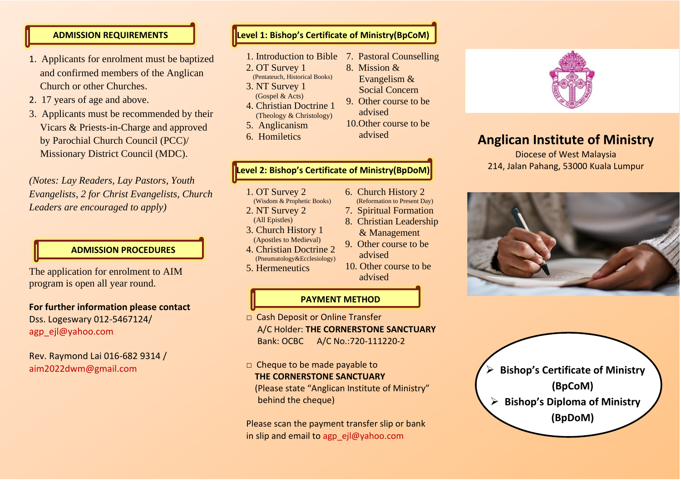#### **ADMISSION REQUIREMENTS**

- 1. Applicants for enrolment must be baptized and confirmed members of the Anglican Church or other Churches.
- 2. 17 years of age and above.
- 3. Applicants must be recommended by their Vicars & Priests-in-Charge and approved by Parochial Church Council (PCC)/ Missionary District Council (MDC).

*(Notes: Lay Readers, Lay Pastors, Youth Evangelists, 2 for Christ Evangelists, Church Leaders are encouraged to apply)*

### **ADMISSION PROCEDURES**

The application for enrolment to AIM program is open all year round.

**For further information please contact** Dss. Logeswary 012-5467124/ agp\_ejl@yahoo.com

Rev. Raymond Lai 016-682 9314 / aim2022dwm@gmail.com

## **Level 1: Bishop's Certificate of Ministry(BpCoM)**

- 1. Introduction to Bible 7. Pastoral Counselling
- 2. OT Survey 1
- (Pentateuch, Historical Books) 3. NT Survey 1 (Gospel & Acts)
- 4. Christian Doctrine 1 (Theology & Christology)
- 5. Anglicanism
- 6. Homiletics

### **Level 2: Bishop's Certificate of Ministry(BpDoM)**

- 1. OT Survey 2
- (Wisdom & Prophetic Books) 2. NT Survey 2
- (All Epistles)
- 3. Church History 1 (Apostles to Medieval)
- 4. Christian Doctrine 2 (Pneumatology&Ecclesiology)
- 5. Hermeneutics

### **PAYMENT METHOD**

- □ Cash Deposit or Online Transfer A/C Holder: **THE CORNERSTONE SANCTUARY** Bank: OCBC A/C No.:720-111220-2
- □ Cheque to be made payable to **THE CORNERSTONE SANCTUARY** (Please state "Anglican Institute of Ministry" behind the cheque)

Please scan the payment transfer slip or bank in slip and email to agp\_ejl@yahoo.com

- 8. Mission & Evangelism &
- Social Concern 9. Other course to be
- advised 10.Other course to be advised

6. Church History 2 (Reformation to Present Day) 7. Spiritual Formation 8. Christian Leadership & Management 9. Other course to be

advised

advised

10. Other course to be



Diocese of West Malaysia 214, Jalan Pahang, 53000 Kuala Lumpur



➢ **Bishop's Certificate of Ministry (BpCoM)** ➢ **Bishop's Diploma of Ministry (BpDoM)**